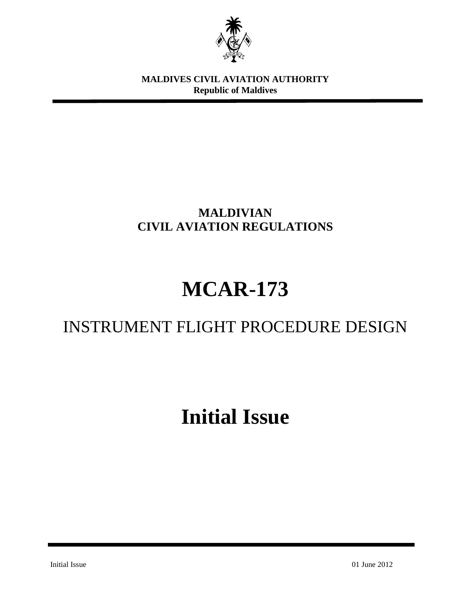

**MALDIVES CIVIL AVIATION AUTHORITY Republic of Maldives**

# **MALDIVIAN CIVIL AVIATION REGULATIONS**

# **MCAR-173**

# INSTRUMENT FLIGHT PROCEDURE DESIGN

# **Initial Issue**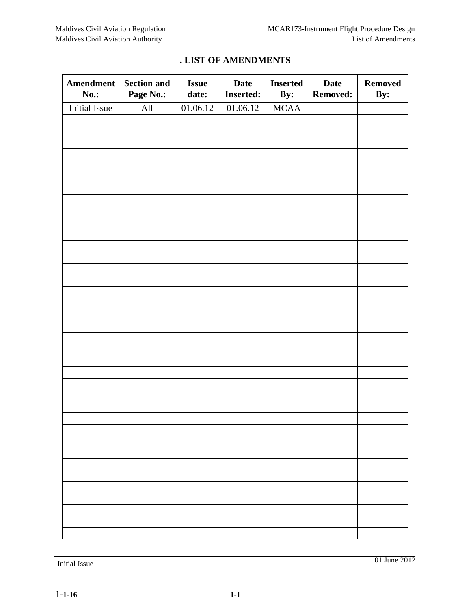| <b>Amendment</b><br><b>No.:</b> | <b>Section and</b><br>Page No.: | <b>Issue</b><br>date: | <b>Date</b><br><b>Inserted:</b> | <b>Inserted</b><br>By: | <b>Date</b><br><b>Removed:</b> | <b>Removed</b><br>By: |
|---------------------------------|---------------------------------|-----------------------|---------------------------------|------------------------|--------------------------------|-----------------------|
| <b>Initial Issue</b>            | All                             | 01.06.12              | 01.06.12                        | $\sf MCAA$             |                                |                       |
|                                 |                                 |                       |                                 |                        |                                |                       |
|                                 |                                 |                       |                                 |                        |                                |                       |
|                                 |                                 |                       |                                 |                        |                                |                       |
|                                 |                                 |                       |                                 |                        |                                |                       |
|                                 |                                 |                       |                                 |                        |                                |                       |
|                                 |                                 |                       |                                 |                        |                                |                       |
|                                 |                                 |                       |                                 |                        |                                |                       |
|                                 |                                 |                       |                                 |                        |                                |                       |
|                                 |                                 |                       |                                 |                        |                                |                       |
|                                 |                                 |                       |                                 |                        |                                |                       |
|                                 |                                 |                       |                                 |                        |                                |                       |
|                                 |                                 |                       |                                 |                        |                                |                       |
|                                 |                                 |                       |                                 |                        |                                |                       |
|                                 |                                 |                       |                                 |                        |                                |                       |
|                                 |                                 |                       |                                 |                        |                                |                       |
|                                 |                                 |                       |                                 |                        |                                |                       |
|                                 |                                 |                       |                                 |                        |                                |                       |
|                                 |                                 |                       |                                 |                        |                                |                       |
|                                 |                                 |                       |                                 |                        |                                |                       |
|                                 |                                 |                       |                                 |                        |                                |                       |
|                                 |                                 |                       |                                 |                        |                                |                       |
|                                 |                                 |                       |                                 |                        |                                |                       |
|                                 |                                 |                       |                                 |                        |                                |                       |
|                                 |                                 |                       |                                 |                        |                                |                       |
|                                 |                                 |                       |                                 |                        |                                |                       |
|                                 |                                 |                       |                                 |                        |                                |                       |
|                                 |                                 |                       |                                 |                        |                                |                       |
|                                 |                                 |                       |                                 |                        |                                |                       |
|                                 |                                 |                       |                                 |                        |                                |                       |
|                                 |                                 |                       |                                 |                        |                                |                       |
|                                 |                                 |                       |                                 |                        |                                |                       |
|                                 |                                 |                       |                                 |                        |                                |                       |
|                                 |                                 |                       |                                 |                        |                                |                       |
|                                 |                                 |                       |                                 |                        |                                |                       |
|                                 |                                 |                       |                                 |                        |                                |                       |
|                                 |                                 |                       |                                 |                        |                                |                       |
|                                 |                                 |                       |                                 |                        |                                |                       |

#### **. LIST OF AMENDMENTS**

Initial Issue 01 June 2012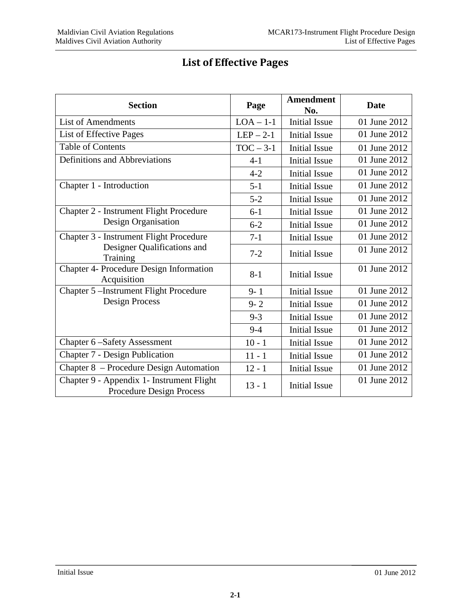| <b>Section</b>                                                               | Page        | <b>Amendment</b><br>No. | <b>Date</b>  |
|------------------------------------------------------------------------------|-------------|-------------------------|--------------|
| <b>List of Amendments</b>                                                    | $LOA - 1-1$ | <b>Initial Issue</b>    | 01 June 2012 |
| List of Effective Pages                                                      | $LEP - 2-1$ | <b>Initial Issue</b>    | 01 June 2012 |
| <b>Table of Contents</b>                                                     | $TOC - 3-1$ | <b>Initial Issue</b>    | 01 June 2012 |
| Definitions and Abbreviations                                                | $4 - 1$     | <b>Initial Issue</b>    | 01 June 2012 |
|                                                                              | $4 - 2$     | <b>Initial Issue</b>    | 01 June 2012 |
| Chapter 1 - Introduction                                                     | $5 - 1$     | <b>Initial Issue</b>    | 01 June 2012 |
|                                                                              | $5 - 2$     | <b>Initial Issue</b>    | 01 June 2012 |
| Chapter 2 - Instrument Flight Procedure                                      | $6-1$       | <b>Initial Issue</b>    | 01 June 2012 |
| Design Organisation                                                          | $6 - 2$     | <b>Initial Issue</b>    | 01 June 2012 |
| Chapter 3 - Instrument Flight Procedure                                      | $7-1$       | <b>Initial Issue</b>    | 01 June 2012 |
| Designer Qualifications and<br>Training                                      | $7 - 2$     | <b>Initial Issue</b>    | 01 June 2012 |
| Chapter 4- Procedure Design Information<br>Acquisition                       | $8 - 1$     | <b>Initial Issue</b>    | 01 June 2012 |
| Chapter 5 – Instrument Flight Procedure                                      | $9 - 1$     | <b>Initial Issue</b>    | 01 June 2012 |
| <b>Design Process</b>                                                        | $9 - 2$     | <b>Initial Issue</b>    | 01 June 2012 |
|                                                                              | $9 - 3$     | <b>Initial Issue</b>    | 01 June 2012 |
|                                                                              | $9 - 4$     | <b>Initial Issue</b>    | 01 June 2012 |
| Chapter 6-Safety Assessment                                                  | $10 - 1$    | <b>Initial Issue</b>    | 01 June 2012 |
| Chapter 7 - Design Publication                                               | $11 - 1$    | <b>Initial Issue</b>    | 01 June 2012 |
| Chapter 8 – Procedure Design Automation                                      | $12 - 1$    | <b>Initial Issue</b>    | 01 June 2012 |
| Chapter 9 - Appendix 1- Instrument Flight<br><b>Procedure Design Process</b> | $13 - 1$    | <b>Initial Issue</b>    | 01 June 2012 |

# **List of Effective Pages**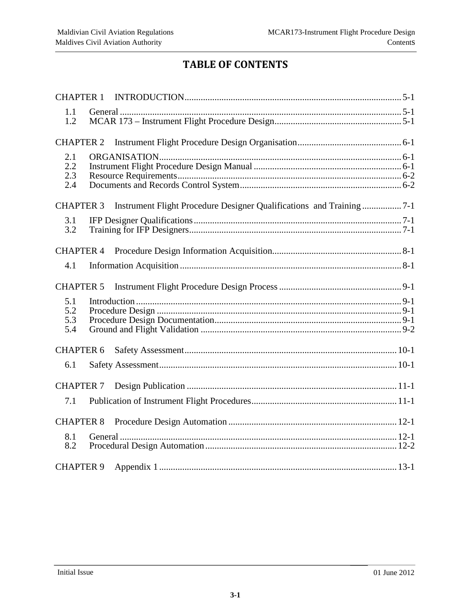# **TABLE OF CONTENTS**

| <b>CHAPTER 1</b>         |  |
|--------------------------|--|
| 1.1<br>1.2               |  |
| <b>CHAPTER 2</b>         |  |
| 2.1<br>2.2<br>2.3<br>2.4 |  |
| <b>CHAPTER 3</b>         |  |
| 3.1<br>3.2               |  |
| <b>CHAPTER 4</b>         |  |
| 4.1                      |  |
| <b>CHAPTER 5</b>         |  |
| 5.1<br>5.2<br>5.3<br>5.4 |  |
| <b>CHAPTER 6</b>         |  |
| 6.1                      |  |
| <b>CHAPTER 7</b>         |  |
| 7.1                      |  |
| <b>CHAPTER 8</b>         |  |
| 8.1<br>8.2               |  |
| <b>CHAPTER 9</b>         |  |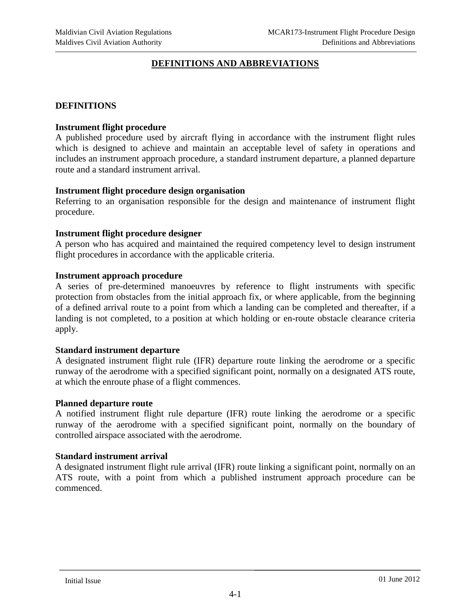#### **DEFINITIONS AND ABBREVIATIONS**

#### **DEFINITIONS**

#### **Instrument flight procedure**

A published procedure used by aircraft flying in accordance with the instrument flight rules which is designed to achieve and maintain an acceptable level of safety in operations and includes an instrument approach procedure, a standard instrument departure, a planned departure route and a standard instrument arrival.

#### **Instrument flight procedure design organisation**

Referring to an organisation responsible for the design and maintenance of instrument flight procedure.

#### **Instrument flight procedure designer**

A person who has acquired and maintained the required competency level to design instrument flight procedures in accordance with the applicable criteria.

#### **Instrument approach procedure**

A series of pre-determined manoeuvres by reference to flight instruments with specific protection from obstacles from the initial approach fix, or where applicable, from the beginning of a defined arrival route to a point from which a landing can be completed and thereafter, if a landing is not completed, to a position at which holding or en-route obstacle clearance criteria apply.

#### **Standard instrument departure**

A designated instrument flight rule (IFR) departure route linking the aerodrome or a specific runway of the aerodrome with a specified significant point, normally on a designated ATS route, at which the enroute phase of a flight commences.

#### **Planned departure route**

A notified instrument flight rule departure (IFR) route linking the aerodrome or a specific runway of the aerodrome with a specified significant point, normally on the boundary of controlled airspace associated with the aerodrome.

#### **Standard instrument arrival**

A designated instrument flight rule arrival (IFR) route linking a significant point, normally on an ATS route, with a point from which a published instrument approach procedure can be commenced.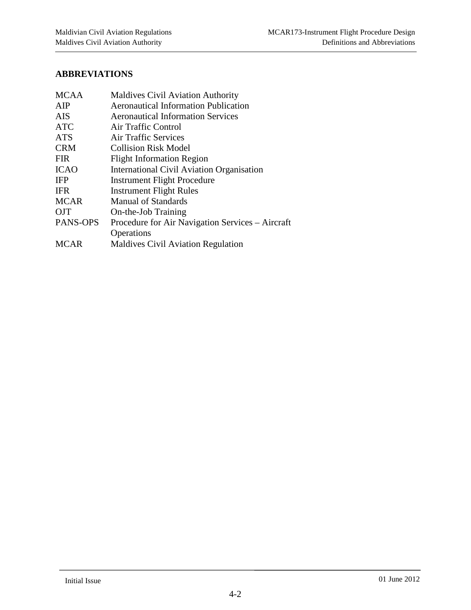# **ABBREVIATIONS**

| <b>MCAA</b> | <b>Maldives Civil Aviation Authority</b>         |  |
|-------------|--------------------------------------------------|--|
| AIP         | <b>Aeronautical Information Publication</b>      |  |
| <b>AIS</b>  | <b>Aeronautical Information Services</b>         |  |
| <b>ATC</b>  | Air Traffic Control                              |  |
| <b>ATS</b>  | Air Traffic Services                             |  |
| <b>CRM</b>  | <b>Collision Risk Model</b>                      |  |
| <b>FIR</b>  | <b>Flight Information Region</b>                 |  |
| <b>ICAO</b> | International Civil Aviation Organisation        |  |
| <b>IFP</b>  | <b>Instrument Flight Procedure</b>               |  |
| <b>IFR</b>  | <b>Instrument Flight Rules</b>                   |  |
| <b>MCAR</b> | <b>Manual of Standards</b>                       |  |
| <b>OJT</b>  | On-the-Job Training                              |  |
| PANS-OPS    | Procedure for Air Navigation Services – Aircraft |  |
|             | Operations                                       |  |
| <b>MCAR</b> | <b>Maldives Civil Aviation Regulation</b>        |  |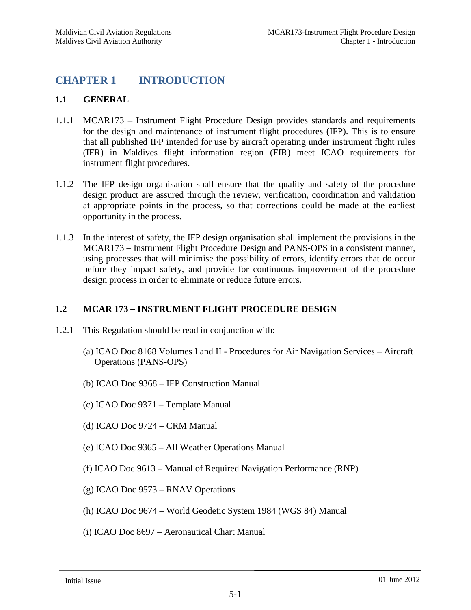# <span id="page-6-0"></span>**CHAPTER 1 INTRODUCTION**

#### <span id="page-6-1"></span>**1.1 GENERAL**

- 1.1.1 MCAR173 Instrument Flight Procedure Design provides standards and requirements for the design and maintenance of instrument flight procedures (IFP). This is to ensure that all published IFP intended for use by aircraft operating under instrument flight rules (IFR) in Maldives flight information region (FIR) meet ICAO requirements for instrument flight procedures.
- 1.1.2 The IFP design organisation shall ensure that the quality and safety of the procedure design product are assured through the review, verification, coordination and validation at appropriate points in the process, so that corrections could be made at the earliest opportunity in the process.
- 1.1.3 In the interest of safety, the IFP design organisation shall implement the provisions in the MCAR173 – Instrument Flight Procedure Design and PANS-OPS in a consistent manner, using processes that will minimise the possibility of errors, identify errors that do occur before they impact safety, and provide for continuous improvement of the procedure design process in order to eliminate or reduce future errors.

#### <span id="page-6-2"></span>**1.2 MCAR 173 – INSTRUMENT FLIGHT PROCEDURE DESIGN**

- 1.2.1 This Regulation should be read in conjunction with:
	- (a) ICAO Doc 8168 Volumes I and II Procedures for Air Navigation Services Aircraft Operations (PANS-OPS)
	- (b) ICAO Doc 9368 IFP Construction Manual
	- (c) ICAO Doc 9371 Template Manual
	- (d) ICAO Doc 9724 CRM Manual
	- (e) ICAO Doc 9365 All Weather Operations Manual
	- (f) ICAO Doc 9613 Manual of Required Navigation Performance (RNP)
	- (g) ICAO Doc 9573 RNAV Operations
	- (h) ICAO Doc 9674 World Geodetic System 1984 (WGS 84) Manual
	- (i) ICAO Doc 8697 Aeronautical Chart Manual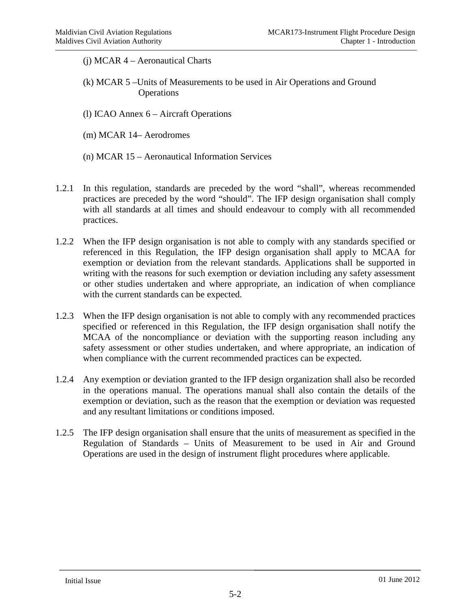- (j) MCAR 4 Aeronautical Charts
- (k) MCAR 5 –Units of Measurements to be used in Air Operations and Ground **Operations**
- (l) ICAO Annex 6 Aircraft Operations
- (m) MCAR 14– Aerodromes
- (n) MCAR 15 Aeronautical Information Services
- 1.2.1 In this regulation, standards are preceded by the word "shall", whereas recommended practices are preceded by the word "should". The IFP design organisation shall comply with all standards at all times and should endeavour to comply with all recommended practices.
- 1.2.2 When the IFP design organisation is not able to comply with any standards specified or referenced in this Regulation, the IFP design organisation shall apply to MCAA for exemption or deviation from the relevant standards. Applications shall be supported in writing with the reasons for such exemption or deviation including any safety assessment or other studies undertaken and where appropriate, an indication of when compliance with the current standards can be expected.
- 1.2.3 When the IFP design organisation is not able to comply with any recommended practices specified or referenced in this Regulation, the IFP design organisation shall notify the MCAA of the noncompliance or deviation with the supporting reason including any safety assessment or other studies undertaken, and where appropriate, an indication of when compliance with the current recommended practices can be expected.
- 1.2.4 Any exemption or deviation granted to the IFP design organization shall also be recorded in the operations manual. The operations manual shall also contain the details of the exemption or deviation, such as the reason that the exemption or deviation was requested and any resultant limitations or conditions imposed.
- 1.2.5 The IFP design organisation shall ensure that the units of measurement as specified in the Regulation of Standards – Units of Measurement to be used in Air and Ground Operations are used in the design of instrument flight procedures where applicable.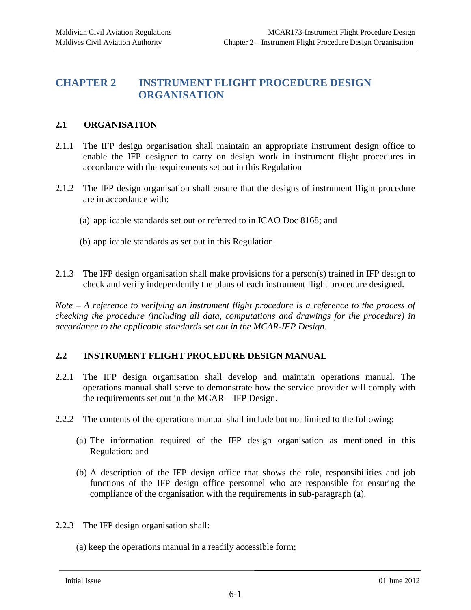## <span id="page-8-0"></span>**CHAPTER 2 INSTRUMENT FLIGHT PROCEDURE DESIGN ORGANISATION**

#### <span id="page-8-1"></span>**2.1 ORGANISATION**

- 2.1.1 The IFP design organisation shall maintain an appropriate instrument design office to enable the IFP designer to carry on design work in instrument flight procedures in accordance with the requirements set out in this Regulation
- 2.1.2 The IFP design organisation shall ensure that the designs of instrument flight procedure are in accordance with:
	- (a) applicable standards set out or referred to in ICAO Doc 8168; and
	- (b) applicable standards as set out in this Regulation.
- 2.1.3 The IFP design organisation shall make provisions for a person(s) trained in IFP design to check and verify independently the plans of each instrument flight procedure designed.

*Note – A reference to verifying an instrument flight procedure is a reference to the process of checking the procedure (including all data, computations and drawings for the procedure) in accordance to the applicable standards set out in the MCAR-IFP Design.*

#### <span id="page-8-2"></span>**2.2 INSTRUMENT FLIGHT PROCEDURE DESIGN MANUAL**

- 2.2.1 The IFP design organisation shall develop and maintain operations manual. The operations manual shall serve to demonstrate how the service provider will comply with the requirements set out in the MCAR – IFP Design.
- 2.2.2 The contents of the operations manual shall include but not limited to the following:
	- (a) The information required of the IFP design organisation as mentioned in this Regulation; and
	- (b) A description of the IFP design office that shows the role, responsibilities and job functions of the IFP design office personnel who are responsible for ensuring the compliance of the organisation with the requirements in sub-paragraph (a).
- 2.2.3 The IFP design organisation shall:
	- (a) keep the operations manual in a readily accessible form;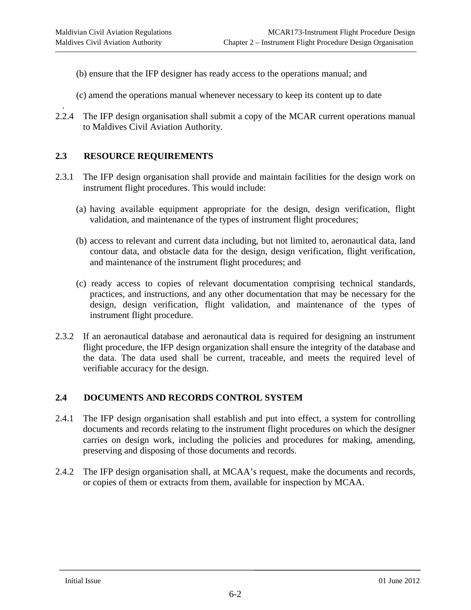- (b) ensure that the IFP designer has ready access to the operations manual; and
- (c) amend the operations manual whenever necessary to keep its content up to date
- . 2.2.4 The IFP design organisation shall submit a copy of the MCAR current operations manual to Maldives Civil Aviation Authority.

#### <span id="page-9-0"></span>**2.3 RESOURCE REQUIREMENTS**

- 2.3.1 The IFP design organisation shall provide and maintain facilities for the design work on instrument flight procedures. This would include:
	- (a) having available equipment appropriate for the design, design verification, flight validation, and maintenance of the types of instrument flight procedures;
	- (b) access to relevant and current data including, but not limited to, aeronautical data, land contour data, and obstacle data for the design, design verification, flight verification, and maintenance of the instrument flight procedures; and
	- (c) ready access to copies of relevant documentation comprising technical standards, practices, and instructions, and any other documentation that may be necessary for the design, design verification, flight validation, and maintenance of the types of instrument flight procedure.
- 2.3.2 If an aeronautical database and aeronautical data is required for designing an instrument flight procedure, the IFP design organization shall ensure the integrity of the database and the data. The data used shall be current, traceable, and meets the required level of verifiable accuracy for the design.

#### <span id="page-9-1"></span>**2.4 DOCUMENTS AND RECORDS CONTROL SYSTEM**

- 2.4.1 The IFP design organisation shall establish and put into effect, a system for controlling documents and records relating to the instrument flight procedures on which the designer carries on design work, including the policies and procedures for making, amending, preserving and disposing of those documents and records.
- 2.4.2 The IFP design organisation shall, at MCAA's request, make the documents and records, or copies of them or extracts from them, available for inspection by MCAA.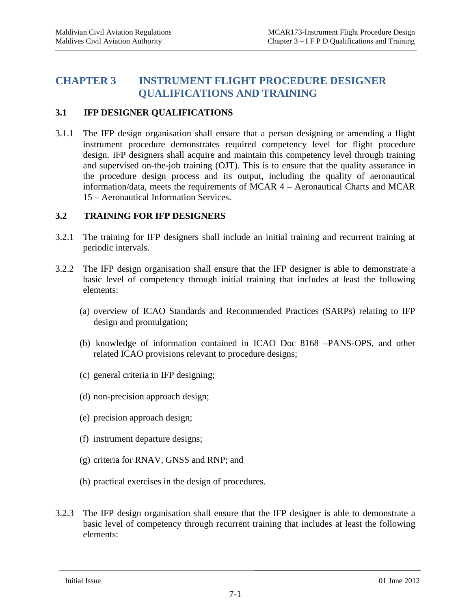### <span id="page-10-0"></span>**CHAPTER 3 INSTRUMENT FLIGHT PROCEDURE DESIGNER QUALIFICATIONS AND TRAINING**

#### <span id="page-10-1"></span>**3.1 IFP DESIGNER QUALIFICATIONS**

3.1.1 The IFP design organisation shall ensure that a person designing or amending a flight instrument procedure demonstrates required competency level for flight procedure design. IFP designers shall acquire and maintain this competency level through training and supervised on-the-job training (OJT). This is to ensure that the quality assurance in the procedure design process and its output, including the quality of aeronautical information/data, meets the requirements of MCAR 4 – Aeronautical Charts and MCAR 15 – Aeronautical Information Services.

#### <span id="page-10-2"></span>**3.2 TRAINING FOR IFP DESIGNERS**

- 3.2.1 The training for IFP designers shall include an initial training and recurrent training at periodic intervals.
- 3.2.2 The IFP design organisation shall ensure that the IFP designer is able to demonstrate a basic level of competency through initial training that includes at least the following elements:
	- (a) overview of ICAO Standards and Recommended Practices (SARPs) relating to IFP design and promulgation;
	- (b) knowledge of information contained in ICAO Doc 8168 –PANS-OPS, and other related ICAO provisions relevant to procedure designs;
	- (c) general criteria in IFP designing;
	- (d) non-precision approach design;
	- (e) precision approach design;
	- (f) instrument departure designs;
	- (g) criteria for RNAV, GNSS and RNP; and
	- (h) practical exercises in the design of procedures.
- 3.2.3 The IFP design organisation shall ensure that the IFP designer is able to demonstrate a basic level of competency through recurrent training that includes at least the following elements: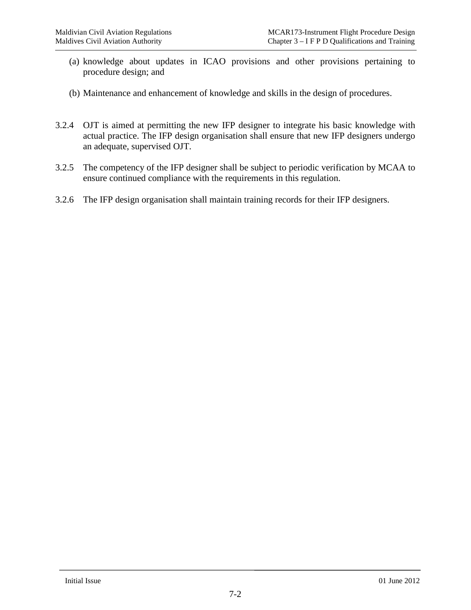- (a) knowledge about updates in ICAO provisions and other provisions pertaining to procedure design; and
- (b) Maintenance and enhancement of knowledge and skills in the design of procedures.
- 3.2.4 OJT is aimed at permitting the new IFP designer to integrate his basic knowledge with actual practice. The IFP design organisation shall ensure that new IFP designers undergo an adequate, supervised OJT.
- 3.2.5 The competency of the IFP designer shall be subject to periodic verification by MCAA to ensure continued compliance with the requirements in this regulation.
- 3.2.6 The IFP design organisation shall maintain training records for their IFP designers.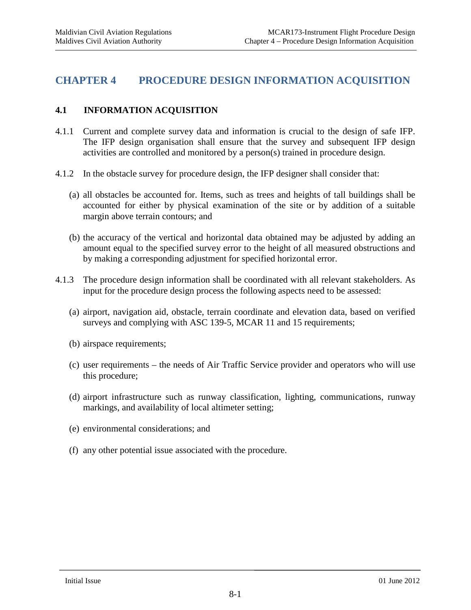### <span id="page-12-0"></span>**CHAPTER 4 PROCEDURE DESIGN INFORMATION ACQUISITION**

#### <span id="page-12-1"></span>**4.1 INFORMATION ACQUISITION**

- 4.1.1 Current and complete survey data and information is crucial to the design of safe IFP. The IFP design organisation shall ensure that the survey and subsequent IFP design activities are controlled and monitored by a person(s) trained in procedure design.
- 4.1.2 In the obstacle survey for procedure design, the IFP designer shall consider that:
	- (a) all obstacles be accounted for. Items, such as trees and heights of tall buildings shall be accounted for either by physical examination of the site or by addition of a suitable margin above terrain contours; and
	- (b) the accuracy of the vertical and horizontal data obtained may be adjusted by adding an amount equal to the specified survey error to the height of all measured obstructions and by making a corresponding adjustment for specified horizontal error.
- 4.1.3 The procedure design information shall be coordinated with all relevant stakeholders. As input for the procedure design process the following aspects need to be assessed:
	- (a) airport, navigation aid, obstacle, terrain coordinate and elevation data, based on verified surveys and complying with ASC 139-5, MCAR 11 and 15 requirements;
	- (b) airspace requirements;
	- (c) user requirements the needs of Air Traffic Service provider and operators who will use this procedure;
	- (d) airport infrastructure such as runway classification, lighting, communications, runway markings, and availability of local altimeter setting;
	- (e) environmental considerations; and
	- (f) any other potential issue associated with the procedure.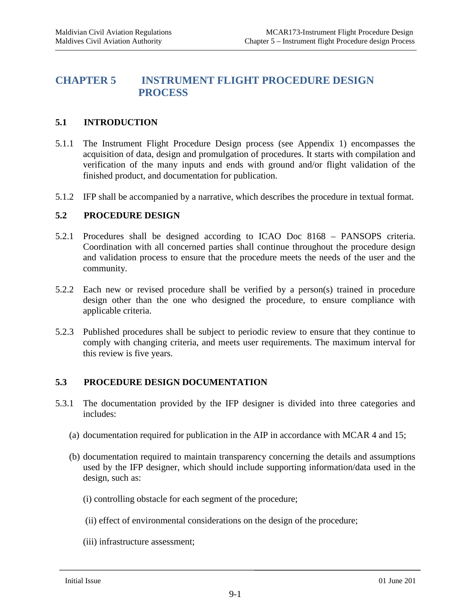## <span id="page-13-0"></span>**CHAPTER 5 INSTRUMENT FLIGHT PROCEDURE DESIGN PROCESS**

#### <span id="page-13-1"></span>**5.1 INTRODUCTION**

- 5.1.1 The Instrument Flight Procedure Design process (see Appendix 1) encompasses the acquisition of data, design and promulgation of procedures. It starts with compilation and verification of the many inputs and ends with ground and/or flight validation of the finished product, and documentation for publication.
- 5.1.2 IFP shall be accompanied by a narrative, which describes the procedure in textual format.

#### <span id="page-13-2"></span>**5.2 PROCEDURE DESIGN**

- 5.2.1 Procedures shall be designed according to ICAO Doc 8168 PANSOPS criteria. Coordination with all concerned parties shall continue throughout the procedure design and validation process to ensure that the procedure meets the needs of the user and the community.
- 5.2.2 Each new or revised procedure shall be verified by a person(s) trained in procedure design other than the one who designed the procedure, to ensure compliance with applicable criteria.
- 5.2.3 Published procedures shall be subject to periodic review to ensure that they continue to comply with changing criteria, and meets user requirements. The maximum interval for this review is five years.

#### <span id="page-13-3"></span>**5.3 PROCEDURE DESIGN DOCUMENTATION**

- 5.3.1 The documentation provided by the IFP designer is divided into three categories and includes:
	- (a) documentation required for publication in the AIP in accordance with MCAR 4 and 15;
	- (b) documentation required to maintain transparency concerning the details and assumptions used by the IFP designer, which should include supporting information/data used in the design, such as:
		- (i) controlling obstacle for each segment of the procedure;
		- (ii) effect of environmental considerations on the design of the procedure;
		- (iii) infrastructure assessment;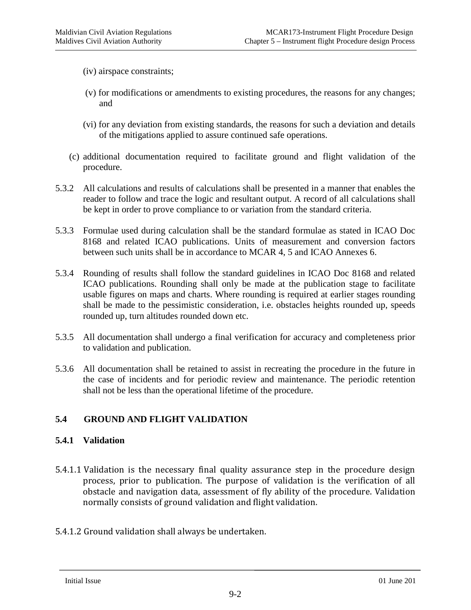(iv) airspace constraints;

- (v) for modifications or amendments to existing procedures, the reasons for any changes; and
- (vi) for any deviation from existing standards, the reasons for such a deviation and details of the mitigations applied to assure continued safe operations.
- (c) additional documentation required to facilitate ground and flight validation of the procedure.
- 5.3.2 All calculations and results of calculations shall be presented in a manner that enables the reader to follow and trace the logic and resultant output. A record of all calculations shall be kept in order to prove compliance to or variation from the standard criteria.
- 5.3.3 Formulae used during calculation shall be the standard formulae as stated in ICAO Doc 8168 and related ICAO publications. Units of measurement and conversion factors between such units shall be in accordance to MCAR 4, 5 and ICAO Annexes 6.
- 5.3.4 Rounding of results shall follow the standard guidelines in ICAO Doc 8168 and related ICAO publications. Rounding shall only be made at the publication stage to facilitate usable figures on maps and charts. Where rounding is required at earlier stages rounding shall be made to the pessimistic consideration, i.e. obstacles heights rounded up, speeds rounded up, turn altitudes rounded down etc.
- 5.3.5 All documentation shall undergo a final verification for accuracy and completeness prior to validation and publication.
- 5.3.6 All documentation shall be retained to assist in recreating the procedure in the future in the case of incidents and for periodic review and maintenance. The periodic retention shall not be less than the operational lifetime of the procedure.

#### <span id="page-14-0"></span>**5.4 GROUND AND FLIGHT VALIDATION**

#### **5.4.1 Validation**

- 5.4.1.1 Validation is the necessary final quality assurance step in the procedure design process, prior to publication. The purpose of validation is the verification of all obstacle and navigation data, assessment of fly ability of the procedure. Validation normally consists of ground validation and flight validation.
- 5.4.1.2 Ground validation shall always be undertaken.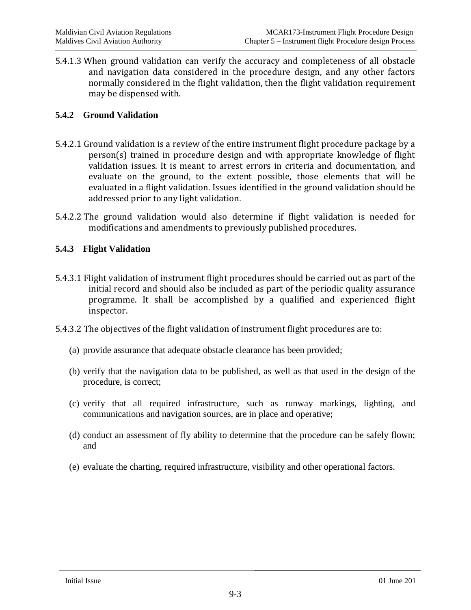5.4.1.3 When ground validation can verify the accuracy and completeness of all obstacle and navigation data considered in the procedure design, and any other factors normally considered in the flight validation, then the flight validation requirement may be dispensed with.

#### **5.4.2 Ground Validation**

- 5.4.2.1 Ground validation is a review of the entire instrument flight procedure package by a person(s) trained in procedure design and with appropriate knowledge of flight validation issues. It is meant to arrest errors in criteria and documentation, and evaluate on the ground, to the extent possible, those elements that will be evaluated in a flight validation. Issues identified in the ground validation should be addressed prior to any light validation.
- 5.4.2.2 The ground validation would also determine if flight validation is needed for modifications and amendments to previously published procedures.

#### **5.4.3 Flight Validation**

- 5.4.3.1 Flight validation of instrument flight procedures should be carried out as part of the initial record and should also be included as part of the periodic quality assurance programme. It shall be accomplished by a qualified and experienced flight inspector.
- 5.4.3.2 The objectives of the flight validation of instrument flight procedures are to:
	- (a) provide assurance that adequate obstacle clearance has been provided;
	- (b) verify that the navigation data to be published, as well as that used in the design of the procedure, is correct;
	- (c) verify that all required infrastructure, such as runway markings, lighting, and communications and navigation sources, are in place and operative;
	- (d) conduct an assessment of fly ability to determine that the procedure can be safely flown; and
	- (e) evaluate the charting, required infrastructure, visibility and other operational factors.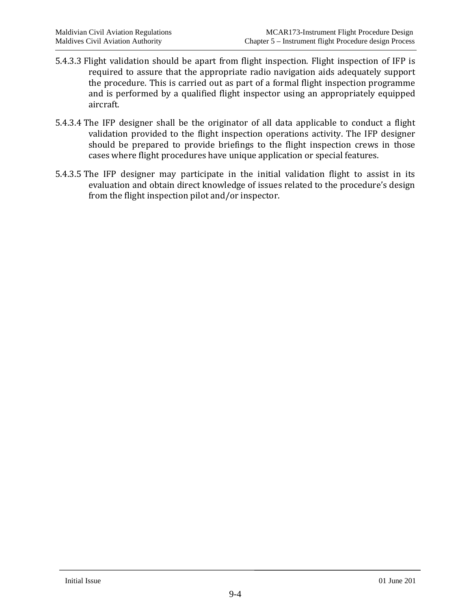- 5.4.3.3 Flight validation should be apart from flight inspection. Flight inspection of IFP is required to assure that the appropriate radio navigation aids adequately support the procedure. This is carried out as part of a formal flight inspection programme and is performed by a qualified flight inspector using an appropriately equipped aircraft.
- 5.4.3.4 The IFP designer shall be the originator of all data applicable to conduct a flight validation provided to the flight inspection operations activity. The IFP designer should be prepared to provide briefings to the flight inspection crews in those cases where flight procedures have unique application or special features.
- 5.4.3.5 The IFP designer may participate in the initial validation flight to assist in its evaluation and obtain direct knowledge of issues related to the procedure's design from the flight inspection pilot and/or inspector.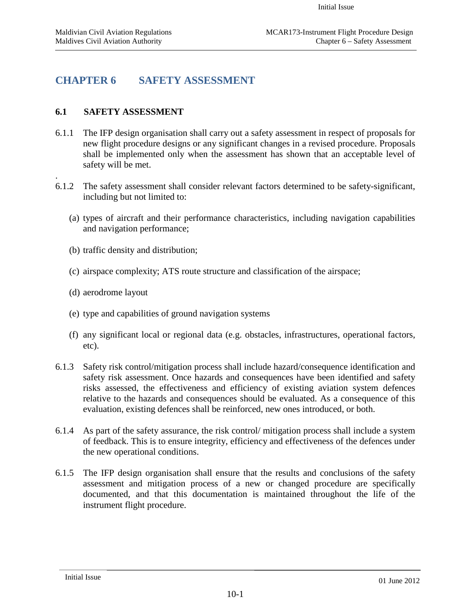# <span id="page-17-0"></span>**CHAPTER 6 SAFETY ASSESSMENT**

#### <span id="page-17-1"></span>**6.1 SAFETY ASSESSMENT**

.

- 6.1.1 The IFP design organisation shall carry out a safety assessment in respect of proposals for new flight procedure designs or any significant changes in a revised procedure. Proposals shall be implemented only when the assessment has shown that an acceptable level of safety will be met.
- 6.1.2 The safety assessment shall consider relevant factors determined to be safety-significant, including but not limited to:
	- (a) types of aircraft and their performance characteristics, including navigation capabilities and navigation performance;
	- (b) traffic density and distribution;
	- (c) airspace complexity; ATS route structure and classification of the airspace;
	- (d) aerodrome layout
	- (e) type and capabilities of ground navigation systems
	- (f) any significant local or regional data (e.g. obstacles, infrastructures, operational factors, etc).
- 6.1.3 Safety risk control/mitigation process shall include hazard/consequence identification and safety risk assessment. Once hazards and consequences have been identified and safety risks assessed, the effectiveness and efficiency of existing aviation system defences relative to the hazards and consequences should be evaluated. As a consequence of this evaluation, existing defences shall be reinforced, new ones introduced, or both.
- 6.1.4 As part of the safety assurance, the risk control/ mitigation process shall include a system of feedback. This is to ensure integrity, efficiency and effectiveness of the defences under the new operational conditions.
- 6.1.5 The IFP design organisation shall ensure that the results and conclusions of the safety assessment and mitigation process of a new or changed procedure are specifically documented, and that this documentation is maintained throughout the life of the instrument flight procedure.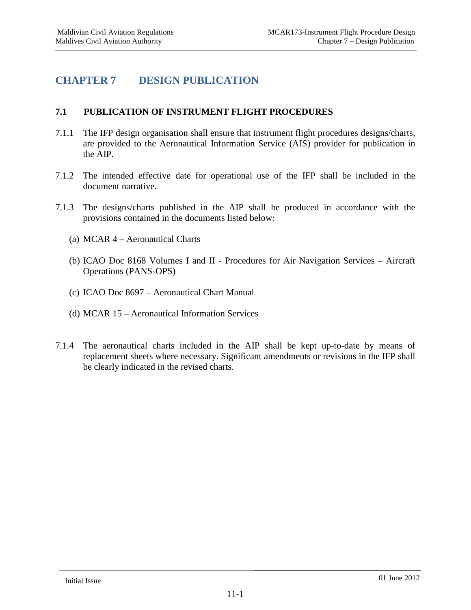# <span id="page-18-0"></span>**CHAPTER 7 DESIGN PUBLICATION**

#### <span id="page-18-1"></span>**7.1 PUBLICATION OF INSTRUMENT FLIGHT PROCEDURES**

- 7.1.1 The IFP design organisation shall ensure that instrument flight procedures designs/charts, are provided to the Aeronautical Information Service (AIS) provider for publication in the AIP.
- 7.1.2 The intended effective date for operational use of the IFP shall be included in the document narrative.
- 7.1.3 The designs/charts published in the AIP shall be produced in accordance with the provisions contained in the documents listed below:
	- (a) MCAR 4 Aeronautical Charts
	- (b) ICAO Doc 8168 Volumes I and II Procedures for Air Navigation Services Aircraft Operations (PANS-OPS)
	- (c) ICAO Doc 8697 Aeronautical Chart Manual
	- (d) MCAR 15 Aeronautical Information Services
- 7.1.4 The aeronautical charts included in the AIP shall be kept up-to-date by means of replacement sheets where necessary. Significant amendments or revisions in the IFP shall be clearly indicated in the revised charts.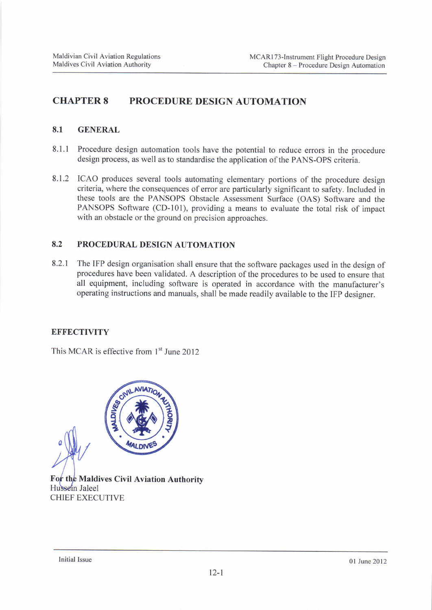# CHAPTER 8 PROCEDURE DESIGN AUTOMATION

#### 8,1 GENERAL

- 8.1.1 Procedure design automation tools have the potential to reduce errors in the procedure design process, as well as to standardise the application of the PANS-OPS criteria.
- 8.1.2 ICAO produces several tools automating elementary portions of the procedure design criteria, where the consequences of error are particularly significant to safety. Included in these tools are the PANSOPS Obstacle Assessment Surface (OAS) Software and the PANSOPS Software (CD-lOl), providing a means to evaluate the total risk of impact with an obstacle or the ground on precision approaches.

#### 8.2 PROCEDURAL DESIGN AUTOMATION

8.2.1 The IFP design organisation shall ensure that the software packages used in the design of procedures have been validated. A description of the procedures to be used to ensure that all equipment, including software is operated in accordance with the manufacturer's operating instructions and manuals, shall be made readily available to the IFp designer.

#### **EFFECTIVITY**

This MCAR is effective from  $1<sup>st</sup>$  June 2012



For the Maldives Civil Aviation Authority Hussein Jaleel CHIEF EXECUTIVE

lnitial Issue